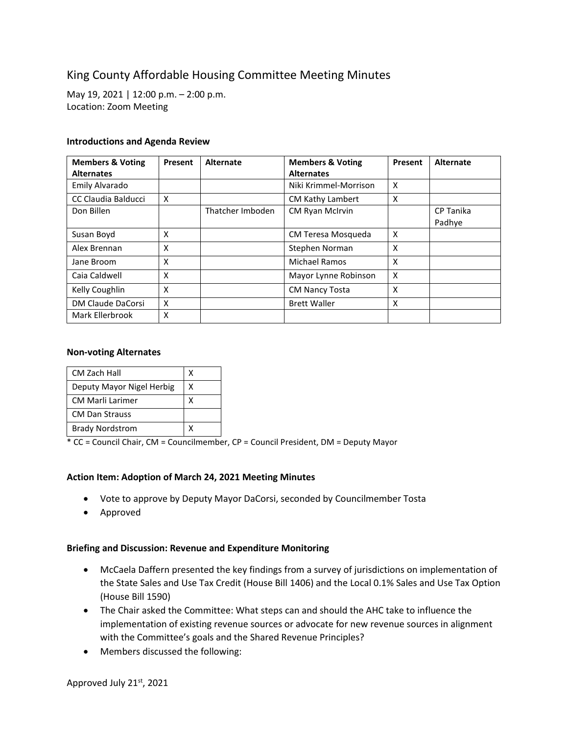# King County Affordable Housing Committee Meeting Minutes

May 19, 2021 | 12:00 p.m. – 2:00 p.m. Location: Zoom Meeting

#### **Introductions and Agenda Review**

| <b>Members &amp; Voting</b><br><b>Alternates</b> | Present | Alternate        | <b>Members &amp; Voting</b><br><b>Alternates</b> | Present | Alternate           |
|--------------------------------------------------|---------|------------------|--------------------------------------------------|---------|---------------------|
| Emily Alvarado                                   |         |                  | Niki Krimmel-Morrison                            | X       |                     |
| CC Claudia Balducci                              | X       |                  | CM Kathy Lambert                                 | X       |                     |
| Don Billen                                       |         | Thatcher Imboden | CM Ryan McIrvin                                  |         | CP Tanika<br>Padhye |
| Susan Boyd                                       | X       |                  | CM Teresa Mosqueda                               | X       |                     |
| Alex Brennan                                     | X       |                  | Stephen Norman                                   | X       |                     |
| Jane Broom                                       | X       |                  | Michael Ramos                                    | X       |                     |
| Caia Caldwell                                    | X       |                  | Mayor Lynne Robinson                             | X       |                     |
| Kelly Coughlin                                   | X       |                  | <b>CM Nancy Tosta</b>                            | X       |                     |
| DM Claude DaCorsi                                | X       |                  | <b>Brett Waller</b>                              | X       |                     |
| Mark Ellerbrook                                  | X       |                  |                                                  |         |                     |

### **Non-voting Alternates**

| CM Zach Hall              | x |
|---------------------------|---|
| Deputy Mayor Nigel Herbig | х |
| <b>CM Marli Larimer</b>   | x |
| <b>CM Dan Strauss</b>     |   |
| <b>Brady Nordstrom</b>    |   |

\* CC = Council Chair, CM = Councilmember, CP = Council President, DM = Deputy Mayor

# **Action Item: Adoption of March 24, 2021 Meeting Minutes**

- Vote to approve by Deputy Mayor DaCorsi, seconded by Councilmember Tosta
- Approved

#### **Briefing and Discussion: Revenue and Expenditure Monitoring**

- McCaela Daffern presented the key findings from a survey of jurisdictions on implementation of the State Sales and Use Tax Credit (House Bill 1406) and the Local 0.1% Sales and Use Tax Option (House Bill 1590)
- The Chair asked the Committee: What steps can and should the AHC take to influence the implementation of existing revenue sources or advocate for new revenue sources in alignment with the Committee's goals and the Shared Revenue Principles?
- Members discussed the following: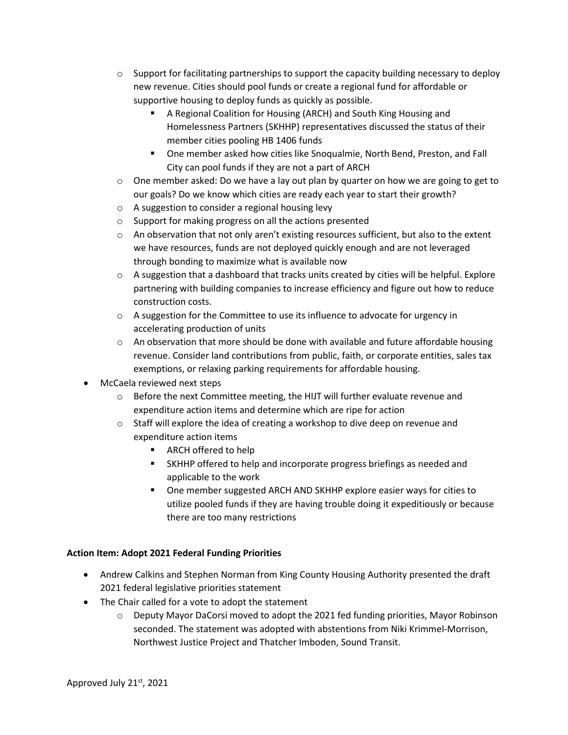- $\circ$  Support for facilitating partnerships to support the capacity building necessary to deploy new revenue. Cities should pool funds or create a regional fund for affordable or supportive housing to deploy funds as quickly as possible.
	- A Regional Coalition for Housing (ARCH) and South King Housing and Homelessness Partners (SKHHP) representatives discussed the status of their member cities pooling HB 1406 funds
	- One member asked how cities like Snoqualmie, North Bend, Preston, and Fall City can pool funds if they are not a part of ARCH
- $\circ$  One member asked: Do we have a lay out plan by quarter on how we are going to get to our goals? Do we know which cities are ready each year to start their growth?
- o A suggestion to consider a regional housing levy
- o Support for making progress on all the actions presented
- $\circ$  An observation that not only aren't existing resources sufficient, but also to the extent we have resources, funds are not deployed quickly enough and are not leveraged through bonding to maximize what is available now
- $\circ$  A suggestion that a dashboard that tracks units created by cities will be helpful. Explore partnering with building companies to increase efficiency and figure out how to reduce construction costs.
- o A suggestion for the Committee to use its influence to advocate for urgency in accelerating production of units
- $\circ$  An observation that more should be done with available and future affordable housing revenue. Consider land contributions from public, faith, or corporate entities, sales tax exemptions, or relaxing parking requirements for affordable housing.
- McCaela reviewed next steps
	- $\circ$  Before the next Committee meeting, the HIJT will further evaluate revenue and expenditure action items and determine which are ripe for action
	- o Staff will explore the idea of creating a workshop to dive deep on revenue and expenditure action items
		- ARCH offered to help
		- SKHHP offered to help and incorporate progress briefings as needed and applicable to the work
		- **One member suggested ARCH AND SKHHP explore easier ways for cities to** utilize pooled funds if they are having trouble doing it expeditiously or because there are too many restrictions

# **Action Item: Adopt 2021 Federal Funding Priorities**

- Andrew Calkins and Stephen Norman from King County Housing Authority presented the draft 2021 federal legislative priorities statement
- The Chair called for a vote to adopt the statement
	- o Deputy Mayor DaCorsi moved to adopt the 2021 fed funding priorities, Mayor Robinson seconded. The statement was adopted with abstentions from Niki Krimmel-Morrison, Northwest Justice Project and Thatcher Imboden, Sound Transit.